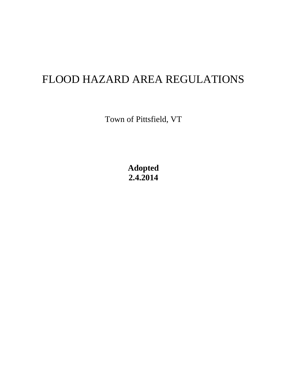# FLOOD HAZARD AREA REGULATIONS

Town of Pittsfield, VT

**Adopted 2.4.2014**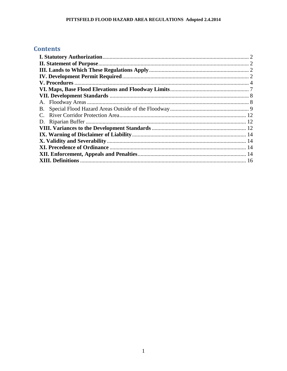# **Contents**

| В. |  |
|----|--|
|    |  |
|    |  |
|    |  |
|    |  |
|    |  |
|    |  |
|    |  |
|    |  |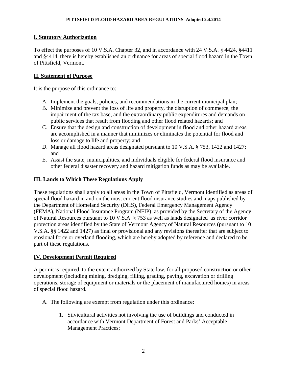# <span id="page-2-0"></span>**I. Statutory Authorization**

To effect the purposes of 10 V.S.A. Chapter 32, and in accordance with 24 V.S.A. § 4424, §4411 and §4414, there is hereby established an ordinance for areas of special flood hazard in the Town of Pittsfield, Vermont.

# <span id="page-2-1"></span>**II. Statement of Purpose**

It is the purpose of this ordinance to:

- A. Implement the goals, policies, and recommendations in the current municipal plan;
- B. Minimize and prevent the loss of life and property, the disruption of commerce, the impairment of the tax base, and the extraordinary public expenditures and demands on public services that result from flooding and other flood related hazards; and
- C. Ensure that the design and construction of development in flood and other hazard areas are accomplished in a manner that minimizes or eliminates the potential for flood and loss or damage to life and property; and
- D. Manage all flood hazard areas designated pursuant to 10 V.S.A. § 753, 1422 and 1427; and
- E. Assist the state, municipalities, and individuals eligible for federal flood insurance and other federal disaster recovery and hazard mitigation funds as may be available.

# <span id="page-2-2"></span>**III. Lands to Which These Regulations Apply**

These regulations shall apply to all areas in the Town of Pittsfield, Vermont identified as areas of special flood hazard in and on the most current flood insurance studies and maps published by the Department of Homeland Security (DHS), Federal Emergency Management Agency (FEMA), National Flood Insurance Program (NFIP), as provided by the Secretary of the Agency of Natural Resources pursuant to 10 V.S.A. § 753 as well as lands designated as river corridor protection areas identified by the State of Vermont Agency of Natural Resources (pursuant to 10 V.S.A. §§ 1422 and 1427) as final or provisional and any revisions thereafter that are subject to erosional force or overland flooding, which are hereby adopted by reference and declared to be part of these regulations.

# <span id="page-2-3"></span>**IV. Development Permit Required**

A permit is required, to the extent authorized by State law, for all proposed construction or other development (including mining, dredging, filling, grading, paving, excavation or drilling operations, storage of equipment or materials or the placement of manufactured homes) in areas of special flood hazard.

- A. The following are exempt from regulation under this ordinance:
	- 1. Silvicultural activities not involving the use of buildings and conducted in accordance with Vermont Department of Forest and Parks' Acceptable Management Practices;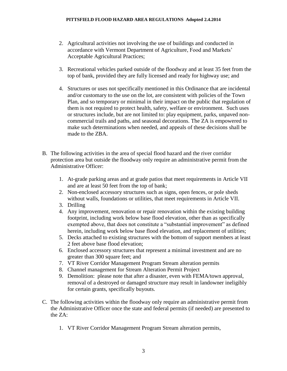- 2. Agricultural activities not involving the use of buildings and conducted in accordance with Vermont Department of Agriculture, Food and Markets' Acceptable Agricultural Practices;
- 3. Recreational vehicles parked outside of the floodway and at least 35 feet from the top of bank, provided they are fully licensed and ready for highway use; and
- 4. Structures or uses not specifically mentioned in this Ordinance that are incidental and/or customary to the use on the lot, are consistent with policies of the Town Plan, and so temporary or minimal in their impact on the public that regulation of them is not required to protect health, safety, welfare or environment. Such uses or structures include, but are not limited to: play equipment, parks, unpaved noncommercial trails and paths, and seasonal decorations. The ZA is empowered to make such determinations when needed, and appeals of these decisions shall be made to the ZBA.
- B. The following activities in the area of special flood hazard and the river corridor protection area but outside the floodway only require an administrative permit from the Administrative Officer:
	- 1. At-grade parking areas and at grade patios that meet requirements in Article VII and are at least 50 feet from the top of bank;
	- 2. Non-enclosed accessory structures such as signs, open fences, or pole sheds without walls, foundations or utilities, that meet requirements in Article VII.
	- 3. Drilling
	- 4. Any improvement, renovation or repair renovation within the existing building footprint, including work below base flood elevation, other than as specifically exempted above, that does not constitute a "substantial improvement" as defined herein, including work below base flood elevation, and replacement of utilities;
	- 5. Decks attached to existing structures with the bottom of support members at least 2 feet above base flood elevation;
	- 6. Enclosed accessory structures that represent a minimal investment and are no greater than 300 square feet; and
	- 7. VT River Corridor Management Program Stream alteration permits
	- 8. Channel management for Stream Alteration Permit Project
	- 9. Demolition: please note that after a disaster, even with FEMA/town approval, removal of a destroyed or damaged structure may result in landowner ineligibly for certain grants, specifically buyouts.
- C. The following activities within the floodway only require an administrative permit from the Administrative Officer once the state and federal permits (if needed) are presented to the ZA:
	- 1. VT River Corridor Management Program Stream alteration permits,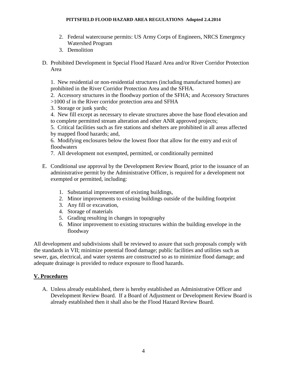- 2. Federal watercourse permits: US Army Corps of Engineers, NRCS Emergency Watershed Program
- 3. Demolition
- D. Prohibited Development in Special Flood Hazard Area and/or River Corridor Protection Area

1. New residential or non-residential structures (including manufactured homes) are prohibited in the River Corridor Protection Area and the SFHA.

2. Accessory structures in the floodway portion of the SFHA; and Accessory Structures >1000 sf in the River corridor protection area and SFHA

- 3. Storage or junk yards;
- 4. New fill except as necessary to elevate structures above the base flood elevation and to complete permitted stream alteration and other ANR approved projects;

5. Critical facilities such as fire stations and shelters are prohibited in all areas affected by mapped flood hazards; and,

6. Modifying enclosures below the lowest floor that allow for the entry and exit of floodwaters

- 7. All development not exempted, permitted, or conditionally permitted
- E. Conditional use approval by the Development Review Board, prior to the issuance of an administrative permit by the Administrative Officer, is required for a development not exempted or permitted, including:
	- 1. Substantial improvement of existing buildings,
	- 2. Minor improvements to existing buildings outside of the building footprint
	- 3. Any fill or excavation,
	- 4. Storage of materials
	- 5. Grading resulting in changes in topography
	- 6. Minor improvement to existing structures within the building envelope in the floodway

All development and subdivisions shall be reviewed to assure that such proposals comply with the standards in VII; minimize potential flood damage; public facilities and utilities such as sewer, gas, electrical, and water systems are constructed so as to minimize flood damage; and adequate drainage is provided to reduce exposure to flood hazards.

# <span id="page-4-0"></span>**V. Procedures**

A. Unless already established, there is hereby established an Administrative Officer and Development Review Board. If a Board of Adjustment or Development Review Board is already established then it shall also be the Flood Hazard Review Board.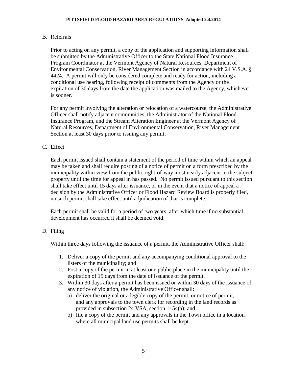#### B. Referrals

Prior to acting on any permit, a copy of the application and supporting information shall be submitted by the Administrative Officer to the State National Flood Insurance Program Coordinator at the Vermont Agency of Natural Resources, Department of Environmental Conservation, River Management Section in accordance with 24 V.S.A. § 4424. A permit will only be considered complete and ready for action, including a conditional use hearing, following receipt of comments from the Agency or the expiration of 30 days from the date the application was mailed to the Agency, whichever is sooner.

For any permit involving the alteration or relocation of a watercourse, the Administrative Officer shall notify adjacent communities, the Administrator of the National Flood Insurance Program, and the Stream Alteration Engineer at the Vermont Agency of Natural Resources, Department of Environmental Conservation, River Management Section at least 30 days prior to issuing any permit.

# C. Effect

Each permit issued shall contain a statement of the period of time within which an appeal may be taken and shall require posting of a notice of permit on a form prescribed by the municipality within view from the public right-of-way most nearly adjacent to the subject property until the time for appeal in has passed. No permit issued pursuant to this section shall take effect until 15 days after issuance, or in the event that a notice of appeal a decision by the Administrative Officer or Flood Hazard Review Board is properly filed, no such permit shall take effect until adjudication of that is complete.

Each permit shall be valid for a period of two years, after which time if no substantial development has occurred it shall be deemed void.

# D. Filing

Within three days following the issuance of a permit, the Administrative Officer shall:

- 1. Deliver a copy of the permit and any accompanying conditional approval to the listers of the municipality; and
- 2. Post a copy of the permit in at least one public place in the municipality until the expiration of 15 days from the date of issuance of the permit.
- 3. Within 30 days after a permit has been issued or within 30 days of the issuance of any notice of violation, the Administrative Officer shall:
	- a) deliver the original or a legible copy of the permit, or notice of permit, and any approvals to the town clerk for recording in the land records as provided in subsection 24 VSA, section 1154(a); and
	- b) file a copy of the permit and any approvals in the Town office in a location where all municipal land use permits shall be kept.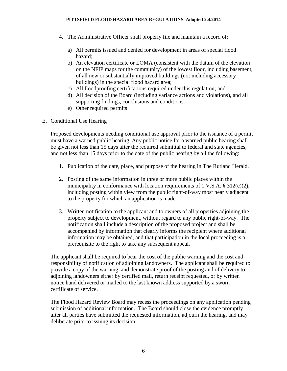- 4. The Administrative Officer shall properly file and maintain a record of:
	- a) All permits issued and denied for development in areas of special flood hazard;
	- b) An elevation certificate or LOMA (consistent with the datum of the elevation on the NFIP maps for the community) of the lowest floor, including basement, of all new or substantially improved buildings (not including accessory buildings) in the special flood hazard area;
	- c) All floodproofing certifications required under this regulation; and
	- d) All decision of the Board (including variance actions and violations), and all supporting findings, conclusions and conditions.
	- e) Other required permits
- E. Conditional Use Hearing

Proposed developments needing conditional use approval prior to the issuance of a permit must have a warned public hearing. Any public notice for a warned public hearing shall be given not less than 15 days after the required submittal to federal and state agencies, and not less than 15 days prior to the date of the public hearing by all the following:

- 1. Publication of the date, place, and purpose of the hearing in The Rutland Herald.
- 2. Posting of the same information in three or more public places within the municipality in conformance with location requirements of 1 V.S.A. § 312(c)(2), including posting within view from the public right-of-way most nearly adjacent to the property for which an application is made.
- 3. Written notification to the applicant and to owners of all properties adjoining the property subject to development, without regard to any public right-of-way. The notification shall include a description of the proposed project and shall be accompanied by information that clearly informs the recipient where additional information may be obtained, and that participation in the local proceeding is a prerequisite to the right to take any subsequent appeal.

The applicant shall be required to bear the cost of the public warning and the cost and responsibility of notification of adjoining landowners. The applicant shall be required to provide a copy of the warning, and demonstrate proof of the posting and of delivery to adjoining landowners either by certified mail, return receipt requested, or by written notice hand delivered or mailed to the last known address supported by a sworn certificate of service.

The Flood Hazard Review Board may recess the proceedings on any application pending submission of additional information. The Board should close the evidence promptly after all parties have submitted the requested information, adjourn the hearing, and may deliberate prior to issuing its decision.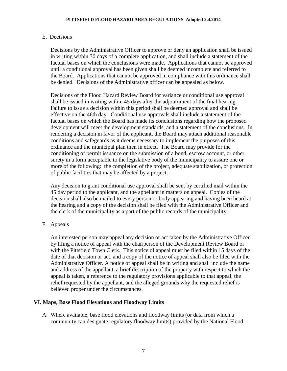#### E. Decisions

Decisions by the Administrative Officer to approve or deny an application shall be issued in writing within 30 days of a complete application, and shall include a statement of the factual bases on which the conclusions were made. Applications that cannot be approved until a conditional approval has been given shall be deemed incomplete and referred to the Board. Applications that cannot be approved in compliance with this ordinance shall be denied. Decisions of the Administrative officer can be appealed as below.

Decisions of the Flood Hazard Review Board for variance or conditional use approval shall be issued in writing within 45 days after the adjournment of the final hearing. Failure to issue a decision within this period shall be deemed approval and shall be effective on the 46th day. Conditional use approvals shall include a statement of the factual bases on which the Board has made its conclusions regarding how the proposed development will meet the development standards, and a statement of the conclusions. In rendering a decision in favor of the applicant, the Board may attach additional reasonable conditions and safeguards as it deems necessary to implement the purposes of this ordinance and the municipal plan then in effect. The Board may provide for the conditioning of permit issuance on the submission of a bond, escrow account, or other surety in a form acceptable to the legislative body of the municipality to assure one or more of the following: the completion of the project, adequate stabilization, or protection of public facilities that may be affected by a project.

Any decision to grant conditional use approval shall be sent by certified mail within the 45 day period to the applicant, and the appellant in matters on appeal. Copies of the decision shall also be mailed to every person or body appearing and having been heard at the hearing and a copy of the decision shall be filed with the Administrative Officer and the clerk of the municipality as a part of the public records of the municipality.

F. Appeals

An interested person may appeal any decision or act taken by the Administrative Officer by filing a notice of appeal with the chairperson of the Development Review Board or with the Pittsfield Town Clerk. This notice of appeal must be filed within 15 days of the date of that decision or act, and a copy of the notice of appeal shall also be filed with the Administrative Officer. A notice of appeal shall be in writing and shall include the name and address of the appellant, a brief description of the property with respect to which the appeal is taken, a reference to the regulatory provisions applicable to that appeal, the relief requested by the appellant, and the alleged grounds why the requested relief is believed proper under the circumstances.

# <span id="page-7-0"></span>**VI. Maps, Base Flood Elevations and Floodway Limits**

A. Where available, base flood elevations and floodway limits (or data from which a community can designate regulatory floodway limits) provided by the National Flood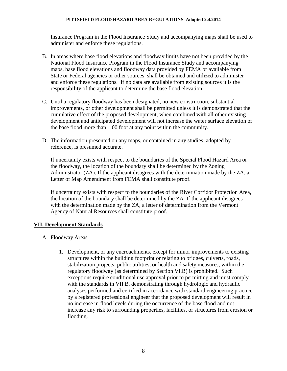Insurance Program in the Flood Insurance Study and accompanying maps shall be used to administer and enforce these regulations.

- B. In areas where base flood elevations and floodway limits have not been provided by the National Flood Insurance Program in the Flood Insurance Study and accompanying maps, base flood elevations and floodway data provided by FEMA or available from State or Federal agencies or other sources, shall be obtained and utilized to administer and enforce these regulations. If no data are available from existing sources it is the responsibility of the applicant to determine the base flood elevation.
- C. Until a regulatory floodway has been designated, no new construction, substantial improvements, or other development shall be permitted unless it is demonstrated that the cumulative effect of the proposed development, when combined with all other existing development and anticipated development will not increase the water surface elevation of the base flood more than 1.00 foot at any point within the community.
- D. The information presented on any maps, or contained in any studies, adopted by reference, is presumed accurate.

If uncertainty exists with respect to the boundaries of the Special Flood Hazard Area or the floodway, the location of the boundary shall be determined by the Zoning Administrator (ZA). If the applicant disagrees with the determination made by the ZA, a Letter of Map Amendment from FEMA shall constitute proof.

If uncertainty exists with respect to the boundaries of the River Corridor Protection Area, the location of the boundary shall be determined by the ZA. If the applicant disagrees with the determination made by the ZA, a letter of determination from the Vermont Agency of Natural Resources shall constitute proof.

# <span id="page-8-0"></span>**VII. Development Standards**

- <span id="page-8-1"></span>A. Floodway Areas
	- 1. Development, or any encroachments, except for minor improvements to existing structures within the building footprint or relating to bridges, culverts, roads, stabilization projects, public utilities, or health and safety measures, within the regulatory floodway (as determined by Section VI.B) is prohibited. Such exceptions require conditional use approval prior to permitting and must comply with the standards in VII.B, demonstrating through hydrologic and hydraulic analyses performed and certified in accordance with standard engineering practice by a registered professional engineer that the proposed development will result in no increase in flood levels during the occurrence of the base flood and not increase any risk to surrounding properties, facilities, or structures from erosion or flooding.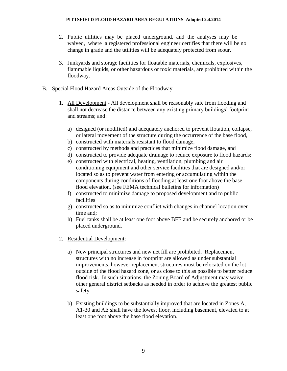- 2. Public utilities may be placed underground, and the analyses may be waived, where a registered professional engineer certifies that there will be no change in grade and the utilities will be adequately protected from scour.
- 3. Junkyards and storage facilities for floatable materials, chemicals, explosives, flammable liquids, or other hazardous or toxic materials, are prohibited within the floodway.
- <span id="page-9-0"></span>B. Special Flood Hazard Areas Outside of the Floodway
	- 1. All Development All development shall be reasonably safe from flooding and shall not decrease the distance between any existing primary buildings' footprint and streams; and:
		- a) designed (or modified) and adequately anchored to prevent flotation, collapse, or lateral movement of the structure during the occurrence of the base flood,
		- b) constructed with materials resistant to flood damage,
		- c) constructed by methods and practices that minimize flood damage, and
		- d) constructed to provide adequate drainage to reduce exposure to flood hazards;
		- e) constructed with electrical, heating, ventilation, plumbing and air conditioning equipment and other service facilities that are designed and/or located so as to prevent water from entering or accumulating within the components during conditions of flooding at least one foot above the base flood elevation. (see FEMA technical bulletins for information)
		- f) constructed to minimize damage to proposed development and to public facilities
		- g) constructed so as to minimize conflict with changes in channel location over time and;
		- h) Fuel tanks shall be at least one foot above BFE and be securely anchored or be placed underground.
	- 2. Residential Development:
		- a) New principal structures and new net fill are prohibited. Replacement structures with no increase in footprint are allowed as under substantial improvements, however replacement structures must be relocated on the lot outside of the flood hazard zone, or as close to this as possible to better reduce flood risk. In such situations, the Zoning Board of Adjustment may waive other general district setbacks as needed in order to achieve the greatest public safety.
		- b) Existing buildings to be substantially improved that are located in Zones A, A1-30 and AE shall have the lowest floor, including basement, elevated to at least one foot above the base flood elevation.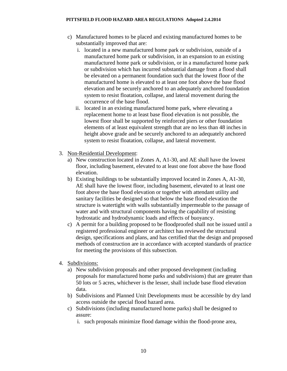- c) Manufactured homes to be placed and existing manufactured homes to be substantially improved that are:
	- i. located in a new manufactured home park or subdivision, outside of a manufactured home park or subdivision, in an expansion to an existing manufactured home park or subdivision, or in a manufactured home park or subdivision which has incurred substantial damage from a flood shall be elevated on a permanent foundation such that the lowest floor of the manufactured home is elevated to at least one foot above the base flood elevation and be securely anchored to an adequately anchored foundation system to resist floatation, collapse, and lateral movement during the occurrence of the base flood.
	- ii. located in an existing manufactured home park, where elevating a replacement home to at least base flood elevation is not possible, the lowest floor shall be supported by reinforced piers or other foundation elements of at least equivalent strength that are no less than 48 inches in height above grade and be securely anchored to an adequately anchored system to resist floatation, collapse, and lateral movement.
- 3. Non-Residential Development:
	- a) New construction located in Zones A, A1-30, and AE shall have the lowest floor, including basement, elevated to at least one foot above the base flood elevation.
	- b) Existing buildings to be substantially improved located in Zones A, A1-30, AE shall have the lowest floor, including basement, elevated to at least one foot above the base flood elevation or together with attendant utility and sanitary facilities be designed so that below the base flood elevation the structure is watertight with walls substantially impermeable to the passage of water and with structural components having the capability of resisting hydrostatic and hydrodynamic loads and effects of buoyancy.
	- c) A permit for a building proposed to be floodproofed shall not be issued until a registered professional engineer or architect has reviewed the structural design, specifications and plans, and has certified that the design and proposed methods of construction are in accordance with accepted standards of practice for meeting the provisions of this subsection.
- 4. Subdivisions:
	- a) New subdivision proposals and other proposed development (including proposals for manufactured home parks and subdivisions) that are greater than 50 lots or 5 acres, whichever is the lesser, shall include base flood elevation data.
	- b) Subdivisions and Planned Unit Developments must be accessible by dry land access outside the special flood hazard area.
	- c) Subdivisions (including manufactured home parks) shall be designed to assure:
		- i. such proposals minimize flood damage within the flood-prone area,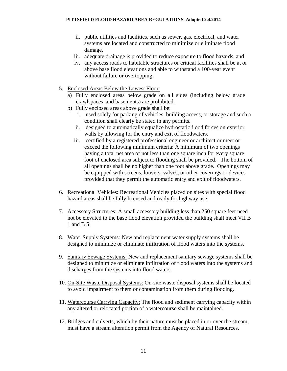- ii. public utilities and facilities, such as sewer, gas, electrical, and water systems are located and constructed to minimize or eliminate flood damage,
- iii. adequate drainage is provided to reduce exposure to flood hazards, and
- iv. any access roads to habitable structures or critical facilities shall be at or above base flood elevations and able to withstand a 100-year event without failure or overtopping.
- 5. Enclosed Areas Below the Lowest Floor:
	- a) Fully enclosed areas below grade on all sides (including below grade crawlspaces and basements) are prohibited.
	- b) Fully enclosed areas above grade shall be:
		- i. used solely for parking of vehicles, building access, or storage and such a condition shall clearly be stated in any permits.
		- ii. designed to automatically equalize hydrostatic flood forces on exterior walls by allowing for the entry and exit of floodwaters.
		- iii. certified by a registered professional engineer or architect or meet or exceed the following minimum criteria: A minimum of two openings having a total net area of not less than one square inch for every square foot of enclosed area subject to flooding shall be provided. The bottom of all openings shall be no higher than one foot above grade. Openings may be equipped with screens, louvers, valves, or other coverings or devices provided that they permit the automatic entry and exit of floodwaters.
- 6. Recreational Vehicles: Recreational Vehicles placed on sites with special flood hazard areas shall be fully licensed and ready for highway use
- 7. Accessory Structures: A small accessory building less than 250 square feet need not be elevated to the base flood elevation provided the building shall meet VII B 1 and B 5:
- 8. Water Supply Systems: New and replacement water supply systems shall be designed to minimize or eliminate infiltration of flood waters into the systems.
- 9. Sanitary Sewage Systems: New and replacement sanitary sewage systems shall be designed to minimize or eliminate infiltration of flood waters into the systems and discharges from the systems into flood waters.
- 10. On-Site Waste Disposal Systems: On-site waste disposal systems shall be located to avoid impairment to them or contamination from them during flooding.
- 11. Watercourse Carrying Capacity: The flood and sediment carrying capacity within any altered or relocated portion of a watercourse shall be maintained.
- 12. Bridges and culverts, which by their nature must be placed in or over the stream, must have a stream alteration permit from the Agency of Natural Resources.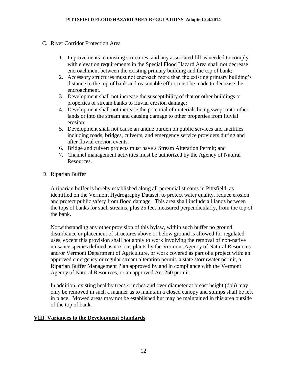- <span id="page-12-0"></span>C. River Corridor Protection Area
	- 1. Improvements to existing structures, and any associated fill as needed to comply with elevation requirements in the Special Flood Hazard Area shall not decrease encroachment between the existing primary building and the top of bank;
	- 2. Accessory structures must not encroach more than the existing primary building's distance to the top of bank and reasonable effort must be made to decrease the encroachment.
	- 3. Development shall not increase the susceptibility of that or other buildings or properties or stream banks to fluvial erosion damage;
	- 4. Development shall not increase the potential of materials being swept onto other lands or into the stream and causing damage to other properties from fluvial erosion;
	- 5. Development shall not cause an undue burden on public services and facilities including roads, bridges, culverts, and emergency service providers during and after fluvial erosion events.
	- 6. Bridge and culvert projects must have a Stream Alteration Permit; and
	- 7. Channel management activities must be authorized by the Agency of Natural Resources.
- <span id="page-12-1"></span>D. Riparian Buffer

A riparian buffer is hereby established along all perennial streams in Pittsfield, as identified on the Vermont Hydrography Dataset, to protect water quality, reduce erosion and protect public safety from flood damage. This area shall include all lands between the tops of banks for such streams, plus 25 feet measured perpendicularly, from the top of the bank.

Notwithstanding any other provision of this bylaw, within such buffer no ground disturbance or placement of structures above or below ground is allowed for regulated uses, except this provision shall not apply to work involving the removal of non-native nuisance species defined as noxious plants by the Vermont Agency of Natural Resources and/or Vermont Department of Agriculture, or work covered as part of a project with: an approved emergency or regular stream alteration permit, a state stormwater permit, a Riparian Buffer Management Plan approved by and in compliance with the Vermont Agency of Natural Resources, or an approved Act 250 permit.

In addition, existing healthy trees 4 inches and over diameter at breast height (dbh) may only be removed in such a manner as to maintain a closed canopy and stumps shall be left in place. Mowed areas may not be established but may be maintained in this area outside of the top of bank.

# <span id="page-12-2"></span>**VIII. Variances to the Development Standards**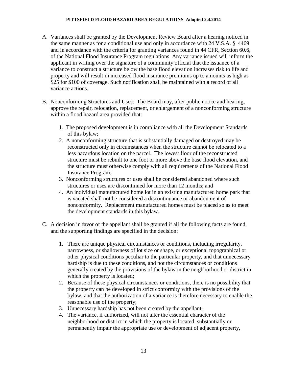- A. Variances shall be granted by the Development Review Board after a hearing noticed in the same manner as for a conditional use and only in accordance with 24 V.S.A. § 4469 and in accordance with the criteria for granting variances found in 44 CFR, Section 60.6, of the National Flood Insurance Program regulations. Any variance issued will inform the applicant in writing over the signature of a community official that the issuance of a variance to construct a structure below the base flood elevation increases risk to life and property and will result in increased flood insurance premiums up to amounts as high as \$25 for \$100 of coverage. Such notification shall be maintained with a record of all variance actions.
- B. Nonconforming Structures and Uses: The Board may, after public notice and hearing, approve the repair, relocation, replacement, or enlargement of a nonconforming structure within a flood hazard area provided that:
	- 1. The proposed development is in compliance with all the Development Standards of this bylaw;
	- 2. A nonconforming structure that is substantially damaged or destroyed may be reconstructed only in circumstances when the structure cannot be relocated to a less hazardous location on the parcel. The lowest floor of the reconstructed structure must be rebuilt to one foot or more above the base flood elevation, and the structure must otherwise comply with all requirements of the National Flood Insurance Program;
	- 3. Nonconforming structures or uses shall be considered abandoned where such structures or uses are discontinued for more than 12 months; and
	- 4. An individual manufactured home lot in an existing manufactured home park that is vacated shall not be considered a discontinuance or abandonment of nonconformity. Replacement manufactured homes must be placed so as to meet the development standards in this bylaw.
- C. A decision in favor of the appellant shall be granted if all the following facts are found, and the supporting findings are specified in the decision:
	- 1. There are unique physical circumstances or conditions, including irregularity, narrowness, or shallowness of lot size or shape, or exceptional topographical or other physical conditions peculiar to the particular property, and that unnecessary hardship is due to these conditions, and not the circumstances or conditions generally created by the provisions of the bylaw in the neighborhood or district in which the property is located;
	- 2. Because of these physical circumstances or conditions, there is no possibility that the property can be developed in strict conformity with the provisions of the bylaw, and that the authorization of a variance is therefore necessary to enable the reasonable use of the property;
	- 3. Unnecessary hardship has not been created by the appellant;
	- 4. The variance, if authorized, will not alter the essential character of the neighborhood or district in which the property is located, substantially or permanently impair the appropriate use or development of adjacent property,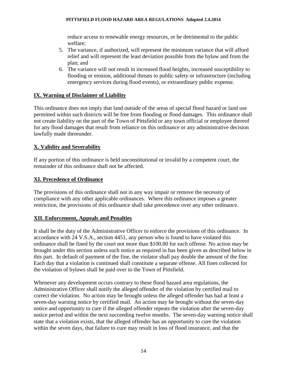reduce access to renewable energy resources, or be detrimental to the public welfare;

- 5. The variance, if authorized, will represent the minimum variance that will afford relief and will represent the least deviation possible from the bylaw and from the plan; and
- 6. The variance will not result in increased flood heights, increased susceptibility to flooding or erosion, additional threats to public safety or infrastructure (including emergency services during flood events), or extraordinary public expense.

# <span id="page-14-0"></span>**IX. Warning of Disclaimer of Liability**

This ordinance does not imply that land outside of the areas of special flood hazard or land use permitted within such districts will be free from flooding or flood damages. This ordinance shall not create liability on the part of the Town of Pittsfield or any town official or employee thereof for any flood damages that result from reliance on this ordinance or any administrative decision lawfully made thereunder.

# <span id="page-14-1"></span>**X. Validity and Severability**

If any portion of this ordinance is held unconstitutional or invalid by a competent court, the remainder of this ordinance shall not be affected.

# <span id="page-14-2"></span>**XI. Precedence of Ordinance**

The provisions of this ordinance shall not in any way impair or remove the necessity of compliance with any other applicable ordinances. Where this ordinance imposes a greater restriction, the provisions of this ordinance shall take precedence over any other ordinance.

# <span id="page-14-3"></span>**XII. Enforcement, Appeals and Penalties**

It shall be the duty of the Administrative Officer to enforce the provisions of this ordinance. In accordance with 24 V.S.A., section 4451, any person who is found to have violated this ordinance shall be fined by the court not more than \$100.00 for each offense. No action may be brought under this section unless such notice as required in has been given as described below in this part. In default of payment of the fine, the violator shall pay double the amount of the fine. Each day that a violation is continued shall constitute a separate offense. All fines collected for the violation of bylaws shall be paid over to the Town of Pittsfield.

Whenever any development occurs contrary to these flood hazard area regulations, the Administrative Officer shall notify the alleged offender of the violation by certified mail to correct the violation. No action may be brought unless the alleged offender has had at least a seven-day warning notice by certified mail. An action may be brought without the seven-day notice and opportunity to cure if the alleged offender repeats the violation after the seven-day notice period and within the next succeeding twelve months. The seven-day warning notice shall state that a violation exists, that the alleged offender has an opportunity to cure the violation within the seven days, that failure to cure may result in loss of flood insurance, and that the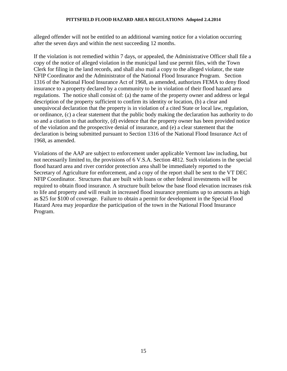alleged offender will not be entitled to an additional warning notice for a violation occurring after the seven days and within the next succeeding 12 months.

If the violation is not remedied within 7 days, or appealed, the Administrative Officer shall file a copy of the notice of alleged violation in the municipal land use permit files, with the Town Clerk for filing in the land records, and shall also mail a copy to the alleged violator, the state NFIP Coordinator and the Administrator of the National Flood Insurance Program. Section 1316 of the National Flood Insurance Act of 1968, as amended, authorizes FEMA to deny flood insurance to a property declared by a community to be in violation of their flood hazard area regulations. The notice shall consist of: (a) the name of the property owner and address or legal description of the property sufficient to confirm its identity or location, (b) a clear and unequivocal declaration that the property is in violation of a cited State or local law, regulation, or ordinance, (c) a clear statement that the public body making the declaration has authority to do so and a citation to that authority, (d) evidence that the property owner has been provided notice of the violation and the prospective denial of insurance, and (e) a clear statement that the declaration is being submitted pursuant to Section 1316 of the National Flood Insurance Act of 1968, as amended.

Violations of the AAP are subject to enforcement under applicable Vermont law including, but not necessarily limited to, the provisions of 6 V.S.A. Section 4812. Such violations in the special flood hazard area and river corridor protection area shall be immediately reported to the Secretary of Agriculture for enforcement, and a copy of the report shall be sent to the VT DEC NFIP Coordinator. Structures that are built with loans or other federal investments will be required to obtain flood insurance. A structure built below the base flood elevation increases risk to life and property and will result in increased flood insurance premiums up to amounts as high as \$25 for \$100 of coverage. Failure to obtain a permit for development in the Special Flood Hazard Area may jeopardize the participation of the town in the National Flood Insurance Program.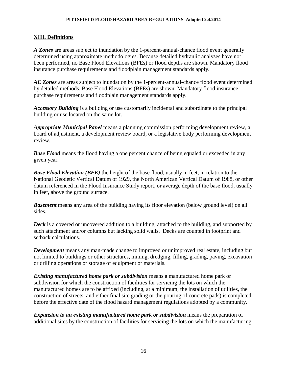# <span id="page-16-0"></span>**XIII. Definitions**

*A Zones* are areas subject to inundation by the 1-percent-annual-chance flood event generally determined using approximate methodologies. Because detailed hydraulic analyses have not been performed, no Base Flood Elevations (BFEs) or flood depths are shown. Mandatory flood insurance purchase requirements and floodplain management standards apply.

*AE Zones* are areas subject to inundation by the 1-percent-annual-chance flood event determined by detailed methods. Base Flood Elevations (BFEs) are shown. Mandatory flood insurance purchase requirements and floodplain management standards apply.

*Accessory Building* is a building or use customarily incidental and subordinate to the principal building or use located on the same lot.

*Appropriate Municipal Panel* means a planning commission performing development review, a board of adjustment, a development review board, or a legislative body performing development review.

**Base Flood** means the flood having a one percent chance of being equaled or exceeded in any given year.

**Base Flood Elevation (BFE)** the height of the base flood, usually in feet, in relation to the National Geodetic Vertical Datum of 1929, the North American Vertical Datum of 1988, or other datum referenced in the Flood Insurance Study report, or average depth of the base flood, usually in feet, above the ground surface.

*Basement* means any area of the building having its floor elevation (below ground level) on all sides.

*Deck* is a covered or uncovered addition to a building, attached to the building, and supported by such attachment and/or columns but lacking solid walls. Decks are counted in footprint and setback calculations.

*Development* means any man-made change to improved or unimproved real estate, including but not limited to buildings or other structures, mining, dredging, filling, grading, paving, excavation or drilling operations or storage of equipment or materials.

*Existing manufactured home park or subdivision* means a manufactured home park or subdivision for which the construction of facilities for servicing the lots on which the manufactured homes are to be affixed (including, at a minimum, the installation of utilities, the construction of streets, and either final site grading or the pouring of concrete pads) is completed before the effective date of the flood hazard management regulations adopted by a community.

*Expansion to an existing manufactured home park or subdivision* means the preparation of additional sites by the construction of facilities for servicing the lots on which the manufacturing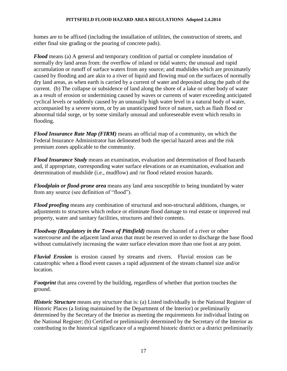homes are to be affixed (including the installation of utilities, the construction of streets, and either final site grading or the pouring of concrete pads).

*Flood* means (a) A general and temporary condition of partial or complete inundation of normally dry land areas from: the overflow of inland or tidal waters; the unusual and rapid accumulation or runoff of surface waters from any source; and mudslides which are proximately caused by flooding and are akin to a river of liquid and flowing mud on the surfaces of normally dry land areas, as when earth is carried by a current of water and deposited along the path of the current. (b) The collapse or subsidence of land along the shore of a lake or other body of water as a result of erosion or undermining caused by waves or currents of water exceeding anticipated cyclical levels or suddenly caused by an unusually high water level in a natural body of water, accompanied by a severe storm, or by an unanticipated force of nature, such as flash flood or abnormal tidal surge, or by some similarly unusual and unforeseeable event which results in flooding.

*Flood Insurance Rate Map (FIRM)* means an official map of a community, on which the Federal Insurance Administrator has delineated both the special hazard areas and the risk premium zones applicable to the community.

*Flood Insurance Study* means an examination, evaluation and determination of flood hazards and, if appropriate, corresponding water surface elevations or an examination, evaluation and determination of mudslide (i.e., mudflow) and /or flood related erosion hazards.

*Floodplain or flood-prone area* means any land area susceptible to being inundated by water from any source (see definition of "flood").

*Flood proofing* means any combination of structural and non-structural additions, changes, or adjustments to structures which reduce or eliminate flood damage to real estate or improved real property, water and sanitary facilities, structures and their contents.

*Floodway (Regulatory in the Town of Pittsfield)* means the channel of a river or other watercourse and the adjacent land areas that must be reserved in order to discharge the base flood without cumulatively increasing the water surface elevation more than one foot at any point.

*Fluvial Erosion* is erosion caused by streams and rivers. Fluvial erosion can be catastrophic when a flood event causes a rapid adjustment of the stream channel size and/or location.

*Footprint* that area covered by the building, regardless of whether that portion touches the ground.

*Historic Structure* means any structure that is: (a) Listed individually in the National Register of Historic Places (a listing maintained by the Department of the Interior) or preliminarily determined by the Secretary of the Interior as meeting the requirements for individual listing on the National Register; (b) Certified or preliminarily determined by the Secretary of the Interior as contributing to the historical significance of a registered historic district or a district preliminarily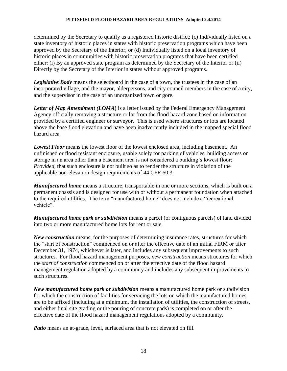determined by the Secretary to qualify as a registered historic district; (c) Individually listed on a state inventory of historic places in states with historic preservation programs which have been approved by the Secretary of the Interior; or (d) Individually listed on a local inventory of historic places in communities with historic preservation programs that have been certified either: (i) By an approved state program as determined by the Secretary of the Interior or (ii) Directly by the Secretary of the Interior in states without approved programs.

*Legislative Body* means the selectboard in the case of a town, the trustees in the case of an incorporated village, and the mayor, alderpersons, and city council members in the case of a city, and the supervisor in the case of an unorganized town or gore.

*Letter of Map Amendment (LOMA***)** is a letter issued by the Federal Emergency Management Agency officially removing a structure or lot from the flood hazard zone based on information provided by a certified engineer or surveyor. This is used where structures or lots are located above the base flood elevation and have been inadvertently included in the mapped special flood hazard area.

*Lowest Floor* means the lowest floor of the lowest enclosed area, including basement. An unfinished or flood resistant enclosure, usable solely for parking of vehicles, building access or storage in an area other than a basement area is not considered a building's lowest floor; *Provided*, that such enclosure is not built so as to render the structure in violation of the applicable non-elevation design requirements of 44 CFR 60.3.

*Manufactured home* means a structure, transportable in one or more sections, which is built on a permanent chassis and is designed for use with or without a permanent foundation when attached to the required utilities. The term "manufactured home" does not include a "recreational vehicle".

*Manufactured home park or subdivision* means a parcel (or contiguous parcels) of land divided into two or more manufactured home lots for rent or sale.

*New construction* means, for the purposes of determining insurance rates, structures for which the "start of construction" commenced on or after the effective date of an initial FIRM or after December 31, 1974, whichever is later, and includes any subsequent improvements to such structures. For flood hazard management purposes, *new construction* means structures for which the *start of construction* commenced on or after the effective date of the flood hazard management regulation adopted by a community and includes any subsequent improvements to such structures.

*New manufactured home park or subdivision* means a manufactured home park or subdivision for which the construction of facilities for servicing the lots on which the manufactured homes are to be affixed (including at a minimum, the installation of utilities, the construction of streets, and either final site grading or the pouring of concrete pads) is completed on or after the effective date of the flood hazard management regulations adopted by a community.

*Patio* means an at-grade, level, surfaced area that is not elevated on fill.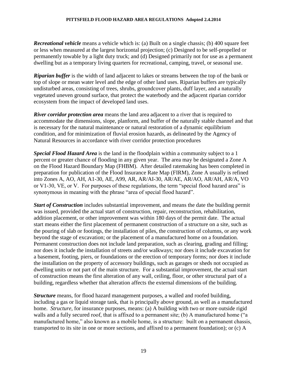*Recreational vehicle* means a vehicle which is: (a) Built on a single chassis; (b) 400 square feet or less when measured at the largest horizontal projection; (c) Designed to be self-propelled or permanently towable by a light duty truck; and (d) Designed primarily not for use as a permanent dwelling but as a temporary living quarters for recreational, camping, travel, or seasonal use.

*Riparian buffer* is the width of land adjacent to lakes or streams between the top of the bank or top of slope or mean water level and the edge of other land uses. Riparian buffers are typically undisturbed areas, consisting of trees, shrubs, groundcover plants, duff layer, and a naturally vegetated uneven ground surface, that protect the waterbody and the adjacent riparian corridor ecosystem from the impact of developed land uses.

*River corridor protection area* means the land area adjacent to a river that is required to accommodate the dimensions, slope, planform, and buffer of the naturally stable channel and that is necessary for the natural maintenance or natural restoration of a dynamic equilibrium condition, and for minimization of fluvial erosion hazards, as delineated by the Agency of Natural Resources in accordance with river corridor protection procedures

*Special Flood Hazard Area* is the land in the floodplain within a community subject to a 1 percent or greater chance of flooding in any given year. The area may be designated a Zone A on the Flood Hazard Boundary Map (FHBM). After detailed ratemaking has been completed in preparation for publication of the Flood Insurance Rate Map (FIRM), Zone A usually is refined into Zones A, AO, AH, A1-30, AE, A99, AR, AR/AI-30, AR/AE, AR/AO, AR/AH, AR/A, VO or V1-30, VE, or V. For purposes of these regulations, the term "special flood hazard area" is synonymous in meaning with the phrase "area of special flood hazard".

*Start of Construction* includes substantial improvement, and means the date the building permit was issued, provided the actual start of construction, repair, reconstruction, rehabilitation, addition placement, or other improvement was within 180 days of the permit date. The actual start means either the first placement of permanent construction of a structure on a site, such as the pouring of slab or footings, the installation of piles, the construction of columns, or any work beyond the stage of excavation; or the placement of a manufactured home on a foundation. Permanent construction does not include land preparation, such as clearing, grading and filling; nor does it include the installation of streets and/or walkways; nor does it include excavation for a basement, footing, piers, or foundations or the erection of temporary forms; nor does it include the installation on the property of accessory buildings, such as garages or sheds not occupied as dwelling units or not part of the main structure. For a substantial improvement, the actual start of construction means the first alteration of any wall, ceiling, floor, or other structural part of a building, regardless whether that alteration affects the external dimensions of the building.

*Structure* means, for flood hazard management purposes, a walled and roofed building, including a gas or liquid storage tank, that is principally above ground, as well as a manufactured home. *Structure*, for insurance purposes, means: (a) A building with two or more outside rigid walls and a fully secured roof, that is affixed to a permanent site; (b) A manufactured home ("a manufactured home," also known as a mobile home, is a structure: built on a permanent chassis, transported to its site in one or more sections, and affixed to a permanent foundation); or (c) A